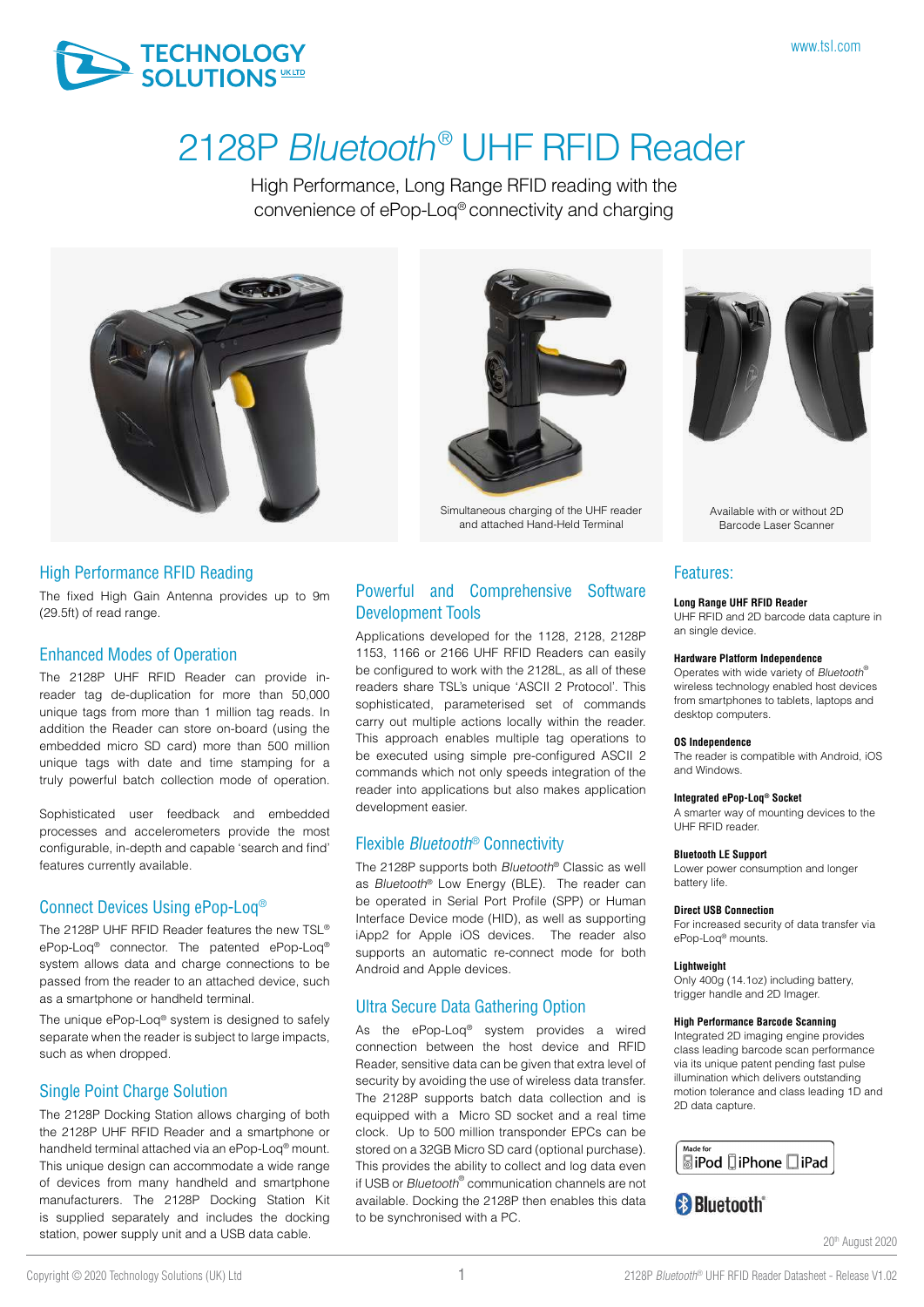

# 2128P Bluetooth<sup>®</sup> UHF RFID Reader

High Performance, Long Range RFID reading with the convenience of ePop-Loq® connectivity and charging



#### High Performance RFID Reading

The fixed High Gain Antenna provides up to 9m (29.5ft) of read range.

#### Enhanced Modes of Operation

The 2128P UHF RFID Reader can provide inreader tag de-duplication for more than 50,000 unique tags from more than 1 million tag reads. In addition the Reader can store on-board (using the embedded micro SD card) more than 500 million unique tags with date and time stamping for a truly powerful batch collection mode of operation.

Sophisticated user feedback and embedded processes and accelerometers provide the most configurable, in-depth and capable 'search and find' features currently available.

#### Connect Devices Using ePop-Loq®

The 2128P UHF RFID Reader features the new TSL® ePop-Loq® connector. The patented ePop-Loq® system allows data and charge connections to be passed from the reader to an attached device, such as a smartphone or handheld terminal.

The unique ePop-Loq<sup>®</sup> system is designed to safely separate when the reader is subject to large impacts, such as when dropped.

#### Single Point Charge Solution

The 2128P Docking Station allows charging of both the 2128P UHF RFID Reader and a smartphone or handheld terminal attached via an ePop-Loq® mount. This unique design can accommodate a wide range of devices from many handheld and smartphone manufacturers. The 2128P Docking Station Kit is supplied separately and includes the docking station, power supply unit and a USB data cable.



Simultaneous charging of the UHF reader and attached Hand-Held Terminal

Powerful and Comprehensive Software

Applications developed for the 1128, 2128, 2128P 1153, 1166 or 2166 UHF RFID Readers can easily be configured to work with the 2128L, as all of these readers share TSL's unique 'ASCII 2 Protocol'. This sophisticated, parameterised set of commands carry out multiple actions locally within the reader. This approach enables multiple tag operations to be executed using simple pre-configured ASCII 2 commands which not only speeds integration of the reader into applications but also makes application

Development Tools

development easier.

Flexible Bluetooth® Connectivity

Ultra Secure Data Gathering Option

Android and Apple devices.

The 2128P supports both Bluetooth® Classic as well as Bluetooth® Low Energy (BLE). The reader can be operated in Serial Port Profile (SPP) or Human Interface Device mode (HID), as well as supporting iApp2 for Apple iOS devices. The reader also supports an automatic re-connect mode for both

As the ePop-Loq® system provides a wired connection between the host device and RFID Reader, sensitive data can be given that extra level of security by avoiding the use of wireless data transfer. The 2128P supports batch data collection and is equipped with a Micro SD socket and a real time clock. Up to 500 million transponder EPCs can be stored on a 32GB Micro SD card (optional purchase). This provides the ability to collect and log data even if USB or Bluetooth<sup>®</sup> communication channels are not available. Docking the 2128P then enables this data

Available with or without 2D Barcode Laser Scanner

### Features:

#### **Long Range UHF RFID Reader**

UHF RFID and 2D barcode data capture in an single device.

#### **Hardware Platform Independence**

Operates with wide variety of Bluetooth® wireless technology enabled host devices from smartphones to tablets, laptops and desktop computers.

#### **OS Independence**

The reader is compatible with Android, iOS and Windows.

#### **Integrated ePop-Loq® Socket**

A smarter way of mounting devices to the UHF RFID reader.

#### **Bluetooth LE Support**

Lower power consumption and longer battery life.

#### **Direct USB Connection**

For increased security of data transfer via ePop-Loq® mounts.

#### **Lightweight**

Only 400g (14.1oz) including battery, trigger handle and 2D Imager.

#### **High Performance Barcode Scanning**

Integrated 2D imaging engine provides class leading barcode scan performance via its unique patent pending fast pulse illumination which delivers outstanding motion tolerance and class leading 1D and 2D data capture.



### **B** Bluetooth

20th August 2020

to be synchronised with a PC.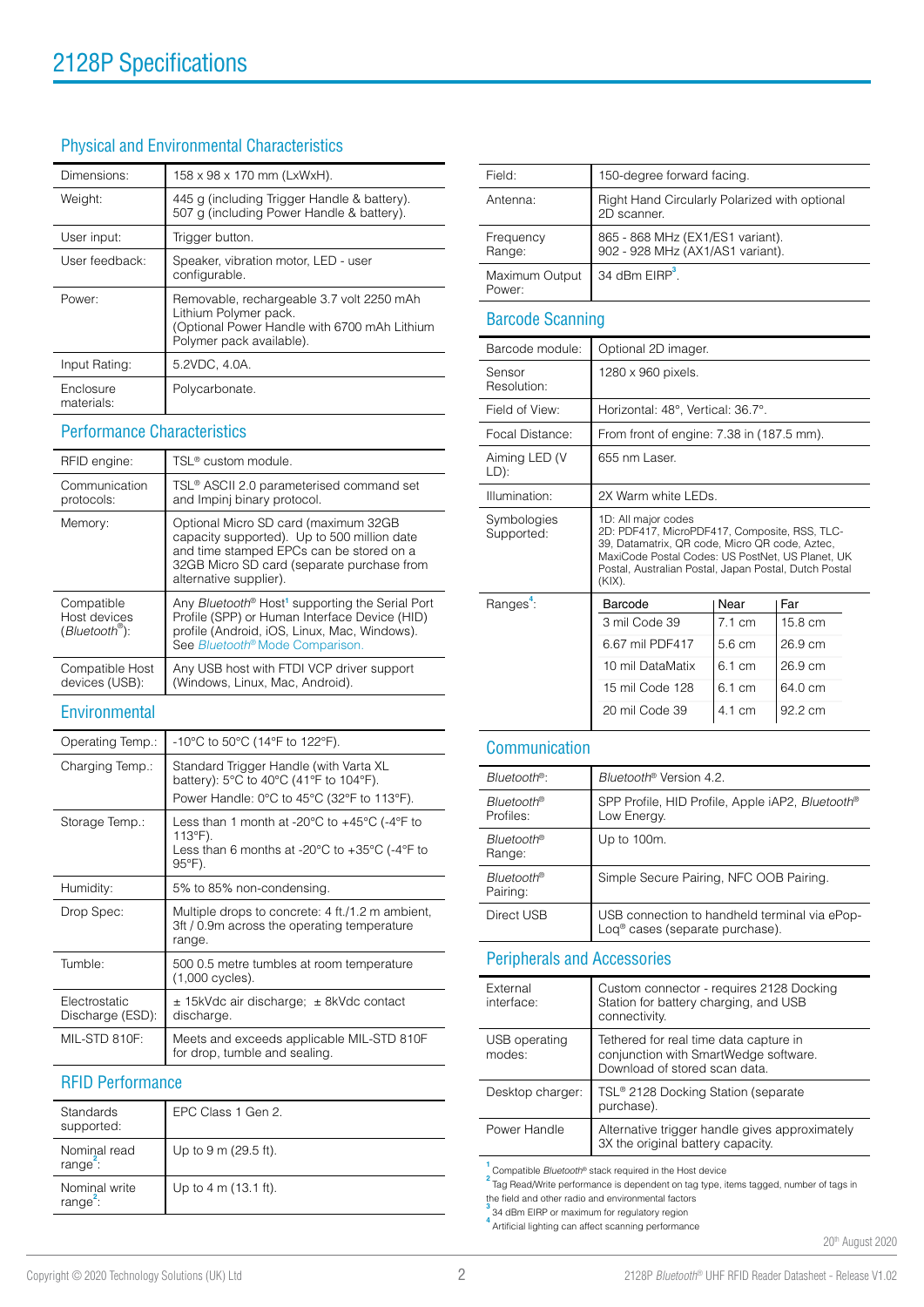### Physical and Environmental Characteristics

| Dimensions:             | 158 x 98 x 170 mm (LxWxH).                                                                                                                     |
|-------------------------|------------------------------------------------------------------------------------------------------------------------------------------------|
| Weight:                 | 445 g (including Trigger Handle & battery).<br>507 g (including Power Handle & battery).                                                       |
| User input:             | Trigger button.                                                                                                                                |
| User feedback:          | Speaker, vibration motor, LED - user<br>configurable.                                                                                          |
| Power:                  | Removable, rechargeable 3.7 volt 2250 mAh<br>Lithium Polymer pack.<br>(Optional Power Handle with 6700 mAh Lithium<br>Polymer pack available). |
| Input Rating:           | 5.2VDC, 4.0A.                                                                                                                                  |
| Enclosure<br>materials: | Polycarbonate.                                                                                                                                 |

#### Performance Characteristics

| RFID engine:                                                  | TSL <sup>®</sup> custom module.                                                                                                                                                                                         |
|---------------------------------------------------------------|-------------------------------------------------------------------------------------------------------------------------------------------------------------------------------------------------------------------------|
| Communication<br>protocols:                                   | TSL <sup>®</sup> ASCII 2.0 parameterised command set<br>and Impinj binary protocol.                                                                                                                                     |
| Memory:                                                       | Optional Micro SD card (maximum 32GB<br>capacity supported). Up to 500 million date<br>and time stamped EPCs can be stored on a<br>32GB Micro SD card (separate purchase from<br>alternative supplier).                 |
| Compatible<br>Host devices<br>$(B$ luetooth $^{\circledR})$ : | Any Bluetooth <sup>®</sup> Host <sup>1</sup> supporting the Serial Port<br>Profile (SPP) or Human Interface Device (HID)<br>profile (Android, iOS, Linux, Mac, Windows).<br>See Bluetooth <sup>®</sup> Mode Comparison. |
| Compatible Host<br>devices (USB):                             | Any USB host with FTDI VCP driver support<br>(Windows, Linux, Mac, Android).                                                                                                                                            |

#### Field: 150-degree forward facing. Antenna: Right Hand Circularly Polarized with optional 2D scanner. Frequency Range: 865 - 868 MHz (EX1/ES1 variant). 902 - 928 MHz (AX1/AS1 variant). Maximum Output Power: 34 dBm EIRP**<sup>3</sup>** .

#### Barcode Scanning

| Barcode module:           | Optional 2D imager.                                                                                                                                                                                                                              |                  |         |
|---------------------------|--------------------------------------------------------------------------------------------------------------------------------------------------------------------------------------------------------------------------------------------------|------------------|---------|
| Sensor<br>Resolution:     | 1280 x 960 pixels.                                                                                                                                                                                                                               |                  |         |
| Field of View:            | Horizontal: 48°, Vertical: 36.7°.                                                                                                                                                                                                                |                  |         |
| Focal Distance:           | From front of engine: 7.38 in (187.5 mm).                                                                                                                                                                                                        |                  |         |
| Aiming LED (V<br>LD):     | 655 nm Laser.                                                                                                                                                                                                                                    |                  |         |
| Illumination:             | 2X Warm white I FDs                                                                                                                                                                                                                              |                  |         |
| Symbologies<br>Supported: | 1D: All major codes<br>2D: PDF417, MicroPDF417, Composite, RSS, TLC-<br>39, Datamatrix, QR code, Micro QR code, Aztec,<br>MaxiCode Postal Codes: US PostNet, US Planet, UK<br>Postal, Australian Postal, Japan Postal, Dutch Postal<br>$(KIX)$ . |                  |         |
| Ranges:                   | Barcode                                                                                                                                                                                                                                          | Near             | Far     |
|                           | 3 mil Code 39                                                                                                                                                                                                                                    | 71cm             | 15.8 cm |
|                           | 6.67 mil PDF417                                                                                                                                                                                                                                  | 56 cm            | 26.9 cm |
|                           | 10 mil DataMatix                                                                                                                                                                                                                                 | 6.1 cm           | 26.9 cm |
|                           | 15 mil Code 128                                                                                                                                                                                                                                  | $6.1 \text{ cm}$ | 64.0 cm |
|                           | 20 mil Code 39                                                                                                                                                                                                                                   | 4.1 cm           | 92.2 cm |

#### Communication

| Bluetooth <sup>®</sup>        | Bluetooth <sup>®</sup> Version 4.2.                                                          |
|-------------------------------|----------------------------------------------------------------------------------------------|
| Bluetooth®<br>Profiles:       | SPP Profile, HID Profile, Apple iAP2, Bluetooth®<br>Low Energy.                              |
| Bluetooth®<br>Range:          | Up to 100m.                                                                                  |
| <b>Bluetooth®</b><br>Pairing: | Simple Secure Pairing, NFC OOB Pairing.                                                      |
| Direct USB                    | USB connection to handheld terminal via ePop-<br>Log <sup>®</sup> cases (separate purchase). |
|                               |                                                                                              |

### Peripherals and Accessories

| External<br>interface:  | Custom connector - requires 2128 Docking<br>Station for battery charging, and USB<br>connectivity.               |
|-------------------------|------------------------------------------------------------------------------------------------------------------|
| USB operating<br>modes: | Tethered for real time data capture in<br>conjunction with SmartWedge software.<br>Download of stored scan data. |
| Desktop charger:        | TSL® 2128 Docking Station (separate<br>purchase).                                                                |
| Power Handle            | Alternative trigger handle gives approximately<br>3X the original battery capacity.                              |
|                         |                                                                                                                  |

<sup>1</sup> Compatible *Bluetooth®* stack required in the Host device<br><sup>2</sup> Tag Read/Write performance is dependent on tag type, items tagged, number of tags in

the field and other radio and environmental factors **3** 3<br>34 dBm EIRP or maximum for regulatory region

**4** Artificial lighting can affect scanning performance

20th August 2020

|                                   | See <i>Bluetooth</i> <sup>®</sup> Mode Comparison.                                                                                                                             |
|-----------------------------------|--------------------------------------------------------------------------------------------------------------------------------------------------------------------------------|
| Compatible Host<br>devices (USB): | Any USB host with FTDI VCP driver support<br>(Windows, Linux, Mac, Android).                                                                                                   |
| Environmental                     |                                                                                                                                                                                |
| Operating Temp.:                  | -10°C to 50°C (14°F to 122°F).                                                                                                                                                 |
| Charging Temp.:                   | Standard Trigger Handle (with Varta XL<br>battery): 5°C to 40°C (41°F to 104°F).<br>Power Handle: 0°C to 45°C (32°F to 113°F).                                                 |
| Storage Temp.:                    | Less than 1 month at -20 $\degree$ C to +45 $\degree$ C (-4 $\degree$ F to<br>113°F).<br>Less than 6 months at -20 $\degree$ C to +35 $\degree$ C (-4 $\degree$ F to<br>95°F). |
| Humidity:                         | 5% to 85% non-condensing.                                                                                                                                                      |
| Drop Spec:                        | Multiple drops to concrete: 4 ft./1.2 m ambient,<br>3ft / 0.9m across the operating temperature<br>range.                                                                      |
| Tumble:                           | 500 0.5 metre tumbles at room temperature<br>(1,000 cycles).                                                                                                                   |
| Electrostatic<br>Discharge (ESD): | $\pm$ 15kVdc air discharge; $\pm$ 8kVdc contact<br>discharge.                                                                                                                  |
| MIL-STD 810F:                     | Meets and exceeds applicable MIL-STD 810F<br>for drop, tumble and sealing.                                                                                                     |

### RFID Performance

| Standards<br>supported:               | EPC Class 1 Gen 2.             |
|---------------------------------------|--------------------------------|
| Nominal read<br>range <sup>-</sup> :  | Up to 9 m (29.5 ft).           |
| Nominal write<br>range <sup>2</sup> : | Up to $4 \text{ m}$ (13.1 ft). |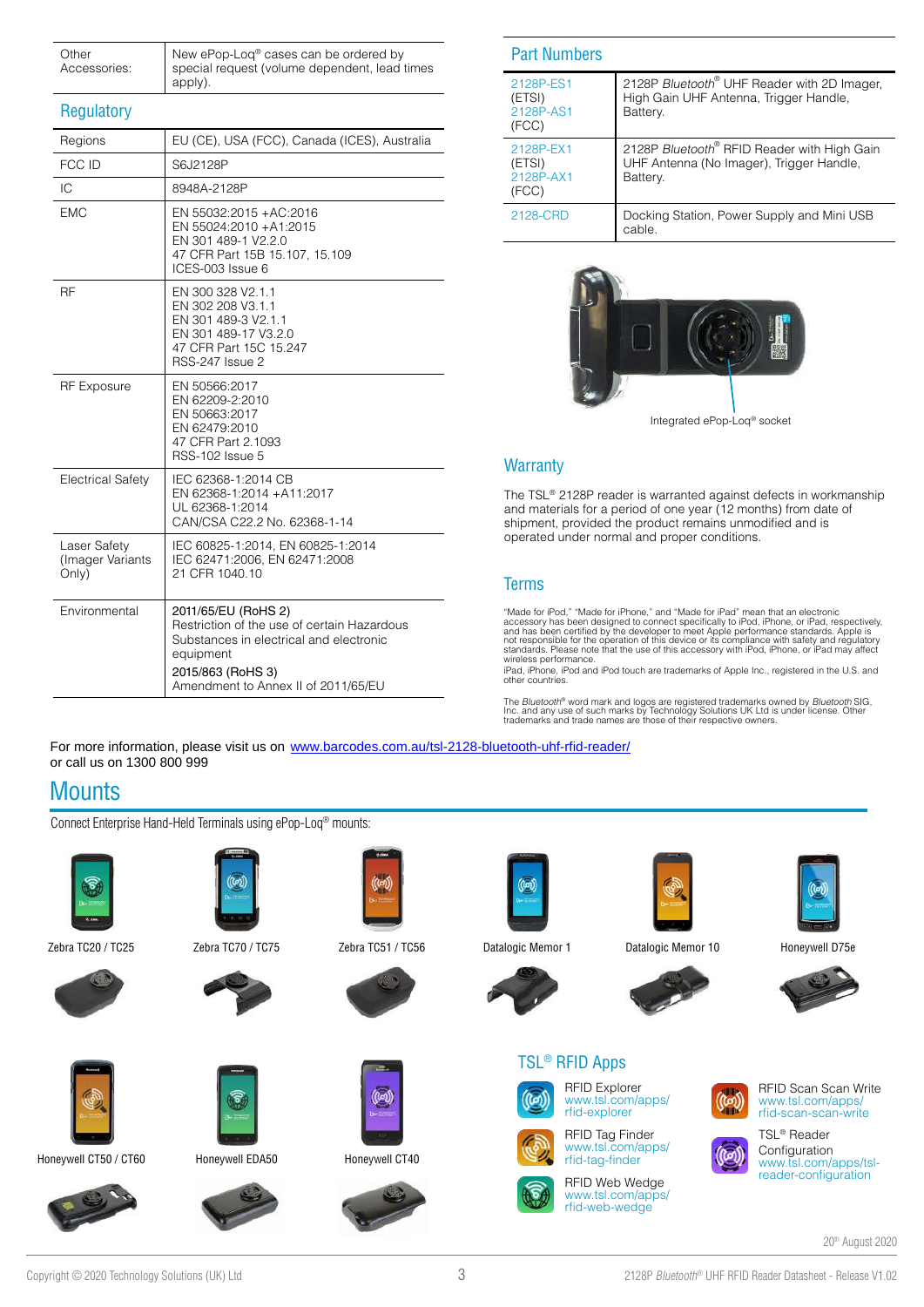| Other<br>Accessories: | New ePop-Loq® cases can be ordered by<br>special request (volume dependent, lead times<br>apply). |
|-----------------------|---------------------------------------------------------------------------------------------------|
|-----------------------|---------------------------------------------------------------------------------------------------|

### **Regulatory**

| Regions                                   | EU (CE), USA (FCC), Canada (ICES), Australia                                                                                                                                           |
|-------------------------------------------|----------------------------------------------------------------------------------------------------------------------------------------------------------------------------------------|
| FCC ID                                    | S6J2128P                                                                                                                                                                               |
| IC                                        | 8948A-2128P                                                                                                                                                                            |
| <b>EMC</b>                                | EN 55032:2015 +AC:2016<br>EN 55024:2010 +A1:2015<br>EN 301 489-1 V2.2.0<br>47 CFR Part 15B 15.107, 15.109<br>ICES-003 Issue 6                                                          |
| <b>RF</b>                                 | EN 300 328 V2.1.1<br>EN 302 208 V3.1.1<br>EN 301 489-3 V2.1.1<br>EN 301 489-17 V3.2.0<br>47 CFR Part 15C 15.247<br><b>RSS-247 Issue 2</b>                                              |
| <b>RF Exposure</b>                        | EN 50566:2017<br>EN 62209-2:2010<br>EN 50663:2017<br>EN 62479:2010<br>47 CFR Part 2.1093<br>RSS-102 Issue 5                                                                            |
| <b>Electrical Safety</b>                  | IEC 62368-1:2014 CB<br>EN 62368-1:2014 +A11:2017<br>UL 62368-1:2014<br>CAN/CSA C22.2 No. 62368-1-14                                                                                    |
| Laser Safety<br>(Imager Variants<br>Only) | IEC 60825-1:2014, EN 60825-1:2014<br>IEC 62471:2006, EN 62471:2008<br>21 CFR 1040.10                                                                                                   |
| Environmental                             | 2011/65/EU (RoHS 2)<br>Restriction of the use of certain Hazardous<br>Substances in electrical and electronic<br>equipment<br>2015/863 (RoHS 3)<br>Amendment to Annex II of 2011/65/EU |

|--|

| 2128P-ES1<br>(ETSI)<br>2128P-AS1<br>(FCC) | 2128P Bluetooth <sup>®</sup> UHF Reader with 2D Imager,<br>High Gain UHF Antenna, Trigger Handle,<br>Battery. |
|-------------------------------------------|---------------------------------------------------------------------------------------------------------------|
| 2128P-EX1<br>(ETSI)<br>2128P-AX1<br>(FCC) | 2128P Bluetooth® RFID Reader with High Gain<br>UHF Antenna (No Imager), Trigger Handle,<br>Battery.           |
| 2128-CRD                                  | Docking Station, Power Supply and Mini USB<br>cable.                                                          |



Integrated ePop-Loq® socket

### **Warranty**

The TSL® 2128P reader is warranted against defects in workmanship and materials for a period of one year (12 months) from date of shipment, provided the product remains unmodified and is operated under normal and proper conditions.

### **Terms**

"Made for iPod," "Made for iPhone," and "Made for iPad" mean that an electronic<br>accessory has been designed to connect specifically to iPod, iPhone, or iPad, respectively,<br>and has been certified by the developer to meet Ap wireless performance.

iPad, iPhone, iPod and iPod touch are trademarks of Apple Inc., registered in the U.S. and other countries.

The *Bluetooth®* word mark and logos are registered trademarks owned by *Bluetooth* SIG,<br>Inc. and any use of such marks by Technology Solutions UK Ltd is under license. Other<br>trademarks and trade names are those of their r

For more information, please visit us on [www.barcodes.com.au/tsl-2128-bluetooth-uhf-rfid-reader/](https://www.barcodes.com.au/tsl-2128-bluetooth-uhf-rfid-reader/) or call us on 1300 800 999

## **Mounts**

Connect Enterprise Hand-Held Terminals using ePop-Loq® mounts:





Zebra TC70 / TC75 Zebra TC51 / TC56 Honeywell D75e Zebra TC20 / TC25 Datalogic Memor 1 Datalogic Memor 10





Honeywell CT50 / CT60 Honeywell EDA50





### Honeywell CT40









[rfid-web-wedge](https://www.tsl.com/apps/rfid-web-wedge/)

















TSL® Reader **Configuration** [www.tsl.com/apps/tsl](https://www.tsl.com/apps/tsl-reader-configuration/)[reader-configuration](https://www.tsl.com/apps/tsl-reader-configuration/)

20th August 2020